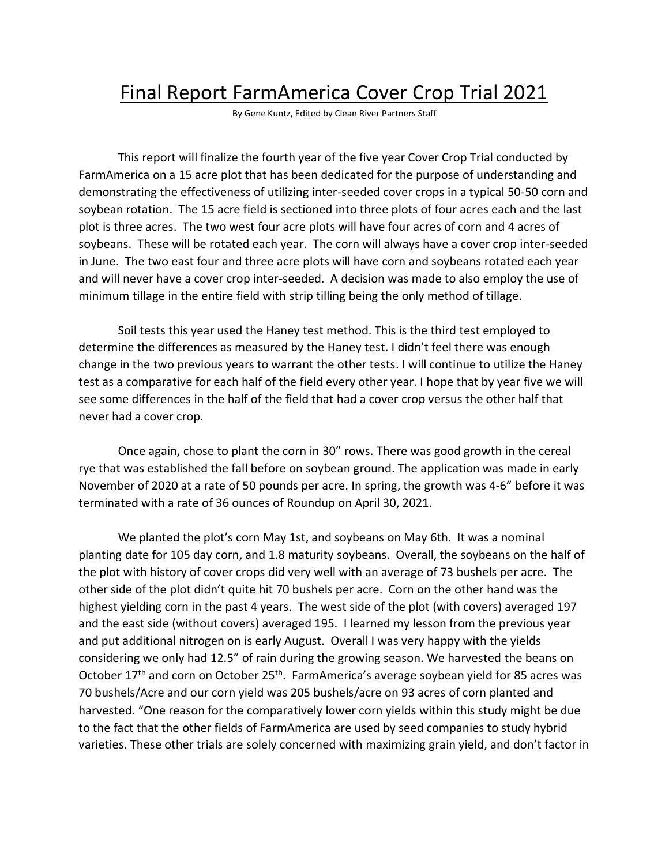## Final Report FarmAmerica Cover Crop Trial 2021

By Gene Kuntz, Edited by Clean River Partners Staff

This report will finalize the fourth year of the five year Cover Crop Trial conducted by FarmAmerica on a 15 acre plot that has been dedicated for the purpose of understanding and demonstrating the effectiveness of utilizing inter-seeded cover crops in a typical 50-50 corn and soybean rotation. The 15 acre field is sectioned into three plots of four acres each and the last plot is three acres. The two west four acre plots will have four acres of corn and 4 acres of soybeans. These will be rotated each year. The corn will always have a cover crop inter-seeded in June. The two east four and three acre plots will have corn and soybeans rotated each year and will never have a cover crop inter-seeded. A decision was made to also employ the use of minimum tillage in the entire field with strip tilling being the only method of tillage.

Soil tests this year used the Haney test method. This is the third test employed to determine the differences as measured by the Haney test. I didn't feel there was enough change in the two previous years to warrant the other tests. I will continue to utilize the Haney test as a comparative for each half of the field every other year. I hope that by year five we will see some differences in the half of the field that had a cover crop versus the other half that never had a cover crop.

Once again, chose to plant the corn in 30" rows. There was good growth in the cereal rye that was established the fall before on soybean ground. The application was made in early November of 2020 at a rate of 50 pounds per acre. In spring, the growth was 4-6" before it was terminated with a rate of 36 ounces of Roundup on April 30, 2021.

We planted the plot's corn May 1st, and soybeans on May 6th. It was a nominal planting date for 105 day corn, and 1.8 maturity soybeans. Overall, the soybeans on the half of the plot with history of cover crops did very well with an average of 73 bushels per acre. The other side of the plot didn't quite hit 70 bushels per acre. Corn on the other hand was the highest yielding corn in the past 4 years. The west side of the plot (with covers) averaged 197 and the east side (without covers) averaged 195. I learned my lesson from the previous year and put additional nitrogen on is early August. Overall I was very happy with the yields considering we only had 12.5" of rain during the growing season. We harvested the beans on October 17<sup>th</sup> and corn on October 25<sup>th</sup>. FarmAmerica's average soybean yield for 85 acres was 70 bushels/Acre and our corn yield was 205 bushels/acre on 93 acres of corn planted and harvested. "One reason for the comparatively lower corn yields within this study might be due to the fact that the other fields of FarmAmerica are used by seed companies to study hybrid varieties. These other trials are solely concerned with maximizing grain yield, and don't factor in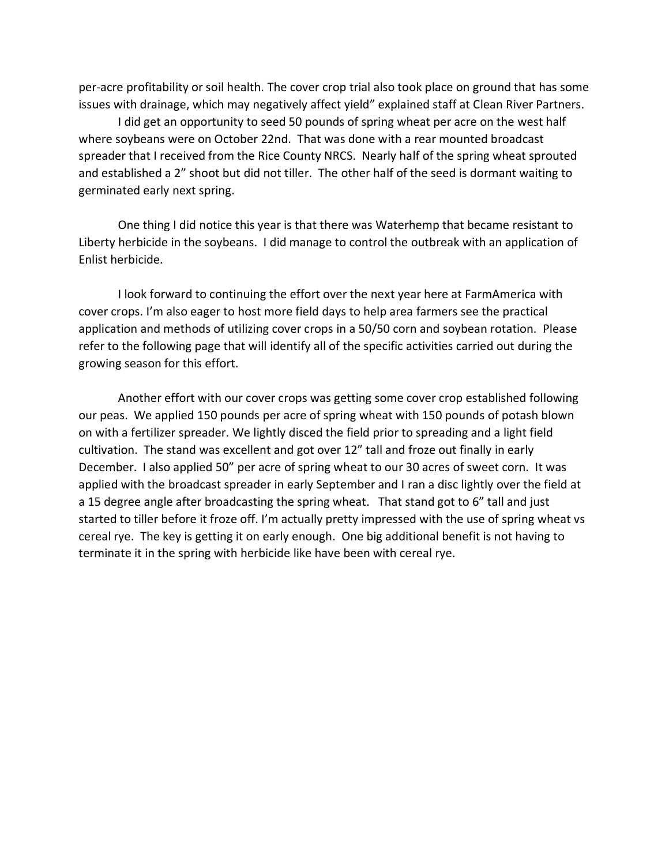per-acre profitability or soil health. The cover crop trial also took place on ground that has some issues with drainage, which may negatively affect yield" explained staff at Clean River Partners.

I did get an opportunity to seed 50 pounds of spring wheat per acre on the west half where soybeans were on October 22nd. That was done with a rear mounted broadcast spreader that I received from the Rice County NRCS. Nearly half of the spring wheat sprouted and established a 2" shoot but did not tiller. The other half of the seed is dormant waiting to germinated early next spring.

One thing I did notice this year is that there was Waterhemp that became resistant to Liberty herbicide in the soybeans. I did manage to control the outbreak with an application of Enlist herbicide.

I look forward to continuing the effort over the next year here at FarmAmerica with cover crops. I'm also eager to host more field days to help area farmers see the practical application and methods of utilizing cover crops in a 50/50 corn and soybean rotation. Please refer to the following page that will identify all of the specific activities carried out during the growing season for this effort.

Another effort with our cover crops was getting some cover crop established following our peas. We applied 150 pounds per acre of spring wheat with 150 pounds of potash blown on with a fertilizer spreader. We lightly disced the field prior to spreading and a light field cultivation. The stand was excellent and got over 12" tall and froze out finally in early December. I also applied 50" per acre of spring wheat to our 30 acres of sweet corn. It was applied with the broadcast spreader in early September and I ran a disc lightly over the field at a 15 degree angle after broadcasting the spring wheat. That stand got to 6" tall and just started to tiller before it froze off. I'm actually pretty impressed with the use of spring wheat vs cereal rye. The key is getting it on early enough. One big additional benefit is not having to terminate it in the spring with herbicide like have been with cereal rye.